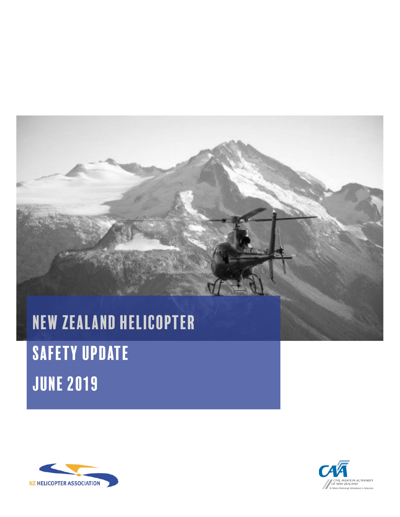# New Zealand helicopter

# SAFETY UPDATE june 2019



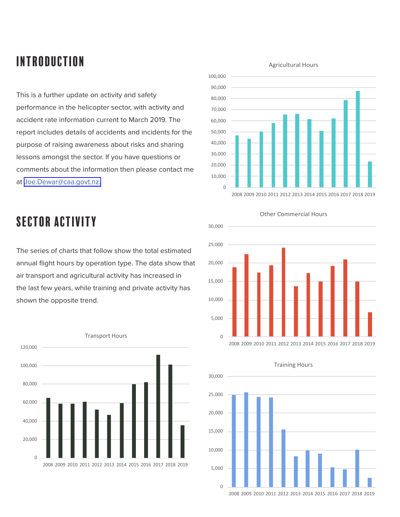# introduction

This is a further update on activity and safety performance in the helicopter sector, with activity and accident rate information current to March 2019. The report includes details of accidents and incidents for the purpose of raising awareness about risks and sharing lessons amongst the sector. If you have questions or comments about the information then please contact me at [Joe.Dewar@caa.govt.nz.](mailto:Joe.Dewar%40caa.govt.nz?subject=)



# sector activity

The series of charts that follow show the total estimated annual flight hours by operation type. The data show that air transport and agricultural activity has increased in the last few years, while training and private activity has shown the opposite trend.



### Other Commercial Hours





Training Hours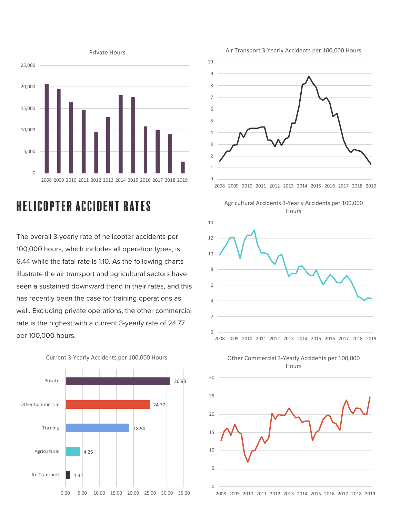

# helicopter Accident Rates

The overall 3-yearly rate of helicopter accidents per 100,000 hours, which includes all operation types, is 6.44 while the fatal rate is 1.10. As the following charts illustrate the air transport and agricultural sectors have seen a sustained downward trend in their rates, and this has recently been the case for training operations as well. Excluding private operations, the other commercial rate is the highest with a current 3-yearly rate of 24.77 per 100,000 hours.







Agricultural Accidents 3-Yearly Accidents per 100,000 **Hours** 



Other Commercial 3-Yearly Accidents per 100,000 Hours



### Air Transport 3-Yearly Accidents per 100,000 Hours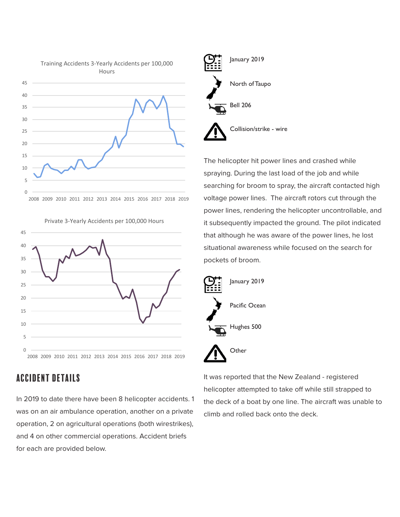



Private 3-Yearly Accidents per 100,000 Hours

## accident details

In 2019 to date there have been 8 helicopter accidents. 1 was on an air ambulance operation, another on a private operation, 2 on agricultural operations (both wirestrikes), and 4 on other commercial operations. Accident briefs for each are provided below.



The helicopter hit power lines and crashed while spraying. During the last load of the job and while searching for broom to spray, the aircraft contacted high voltage power lines. The aircraft rotors cut through the power lines, rendering the helicopter uncontrollable, and it subsequently impacted the ground. The pilot indicated that although he was aware of the power lines, he lost situational awareness while focused on the search for pockets of broom.



It was reported that the New Zealand - registered helicopter attempted to take off while still strapped to the deck of a boat by one line. The aircraft was unable to climb and rolled back onto the deck.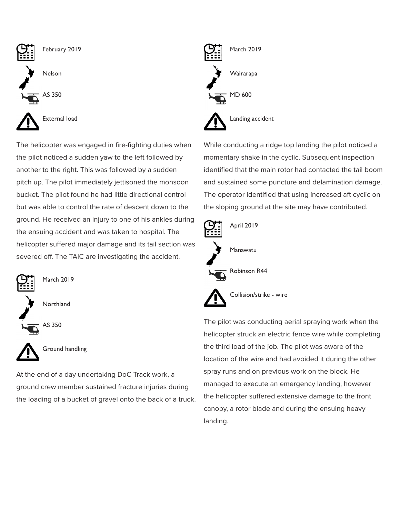

The helicopter was engaged in fire-fighting duties when the pilot noticed a sudden yaw to the left followed by another to the right. This was followed by a sudden pitch up. The pilot immediately jettisoned the monsoon bucket. The pilot found he had little directional control but was able to control the rate of descent down to the ground. He received an injury to one of his ankles during the ensuing accident and was taken to hospital. The helicopter suffered major damage and its tail section was severed off. The TAIC are investigating the accident.



At the end of a day undertaking DoC Track work, a ground crew member sustained fracture injuries during the loading of a bucket of gravel onto the back of a truck.



While conducting a ridge top landing the pilot noticed a momentary shake in the cyclic. Subsequent inspection identified that the main rotor had contacted the tail boom and sustained some puncture and delamination damage. The operator identified that using increased aft cyclic on the sloping ground at the site may have contributed.



The pilot was conducting aerial spraying work when the helicopter struck an electric fence wire while completing the third load of the job. The pilot was aware of the location of the wire and had avoided it during the other spray runs and on previous work on the block. He managed to execute an emergency landing, however the helicopter suffered extensive damage to the front canopy, a rotor blade and during the ensuing heavy landing.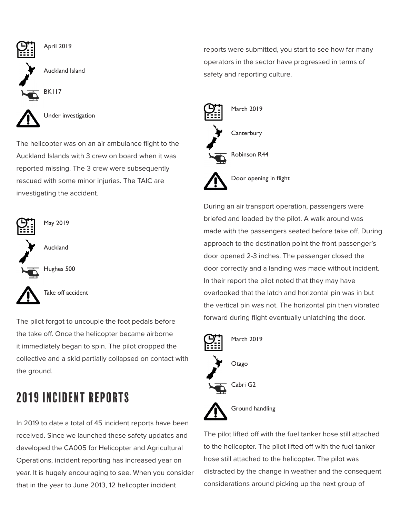

The helicopter was on an air ambulance flight to the Auckland Islands with 3 crew on board when it was reported missing. The 3 crew were subsequently rescued with some minor injuries. The TAIC are investigating the accident.



Take off accident

The pilot forgot to uncouple the foot pedals before the take off. Once the helicopter became airborne it immediately began to spin. The pilot dropped the collective and a skid partially collapsed on contact with the ground.

# 2019 incident reports

In 2019 to date a total of 45 incident reports have been received. Since we launched these safety updates and developed the CA005 for Helicopter and Agricultural Operations, incident reporting has increased year on year. It is hugely encouraging to see. When you consider that in the year to June 2013, 12 helicopter incident

reports were submitted, you start to see how far many operators in the sector have progressed in terms of safety and reporting culture.



Door opening in flight

During an air transport operation, passengers were briefed and loaded by the pilot. A walk around was made with the passengers seated before take off. During approach to the destination point the front passenger's door opened 2-3 inches. The passenger closed the door correctly and a landing was made without incident. In their report the pilot noted that they may have overlooked that the latch and horizontal pin was in but the vertical pin was not. The horizontal pin then vibrated forward during flight eventually unlatching the door.



The pilot lifted off with the fuel tanker hose still attached to the helicopter. The pilot lifted off with the fuel tanker hose still attached to the helicopter. The pilot was distracted by the change in weather and the consequent considerations around picking up the next group of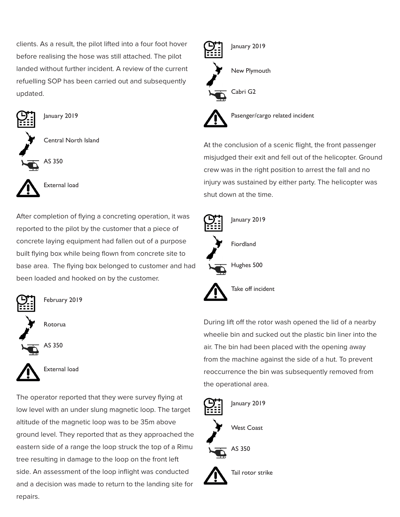clients. As a result, the pilot lifted into a four foot hover before realising the hose was still attached. The pilot landed without further incident. A review of the current refuelling SOP has been carried out and subsequently updated.



January 2019

Central North Island





External load

After completion of flying a concreting operation, it was reported to the pilot by the customer that a piece of concrete laying equipment had fallen out of a purpose built flying box while being flown from concrete site to base area. The flying box belonged to customer and had been loaded and hooked on by the customer.



February 2019

Rotorua





External load

The operator reported that they were survey flying at low level with an under slung magnetic loop. The target altitude of the magnetic loop was to be 35m above ground level. They reported that as they approached the eastern side of a range the loop struck the top of a Rimu tree resulting in damage to the loop on the front left side. An assessment of the loop inflight was conducted and a decision was made to return to the landing site for repairs.



Pasenger/cargo related incident

At the conclusion of a scenic flight, the front passenger misjudged their exit and fell out of the helicopter. Ground crew was in the right position to arrest the fall and no injury was sustained by either party. The helicopter was shut down at the time.



During lift off the rotor wash opened the lid of a nearby wheelie bin and sucked out the plastic bin liner into the air. The bin had been placed with the opening away from the machine against the side of a hut. To prevent reoccurrence the bin was subsequently removed from the operational area.

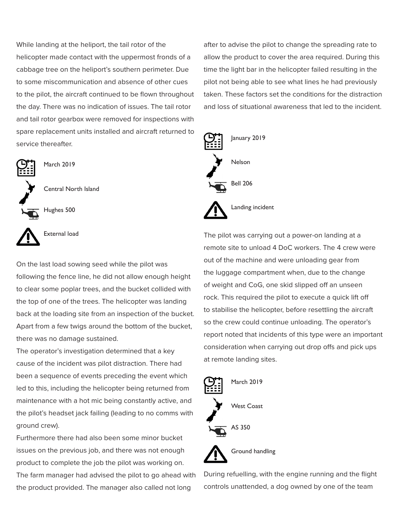While landing at the heliport, the tail rotor of the helicopter made contact with the uppermost fronds of a cabbage tree on the heliport's southern perimeter. Due to some miscommunication and absence of other cues to the pilot, the aircraft continued to be flown throughout the day. There was no indication of issues. The tail rotor and tail rotor gearbox were removed for inspections with spare replacement units installed and aircraft returned to service thereafter.



March 2019

Central North Island

Hughes 500



External load

On the last load sowing seed while the pilot was following the fence line, he did not allow enough height to clear some poplar trees, and the bucket collided with the top of one of the trees. The helicopter was landing back at the loading site from an inspection of the bucket. Apart from a few twigs around the bottom of the bucket, there was no damage sustained.

The operator's investigation determined that a key cause of the incident was pilot distraction. There had been a sequence of events preceding the event which led to this, including the helicopter being returned from maintenance with a hot mic being constantly active, and the pilot's headset jack failing (leading to no comms with ground crew).

Furthermore there had also been some minor bucket issues on the previous job, and there was not enough product to complete the job the pilot was working on. The farm manager had advised the pilot to go ahead with the product provided. The manager also called not long

after to advise the pilot to change the spreading rate to allow the product to cover the area required. During this time the light bar in the helicopter failed resulting in the pilot not being able to see what lines he had previously taken. These factors set the conditions for the distraction and loss of situational awareness that led to the incident.



The pilot was carrying out a power-on landing at a remote site to unload 4 DoC workers. The 4 crew were out of the machine and were unloading gear from the luggage compartment when, due to the change of weight and CoG, one skid slipped off an unseen rock. This required the pilot to execute a quick lift off to stabilise the helicopter, before resettling the aircraft so the crew could continue unloading. The operator's report noted that incidents of this type were an important consideration when carrying out drop offs and pick ups at remote landing sites.



Ground handling

During refuelling, with the engine running and the flight controls unattended, a dog owned by one of the team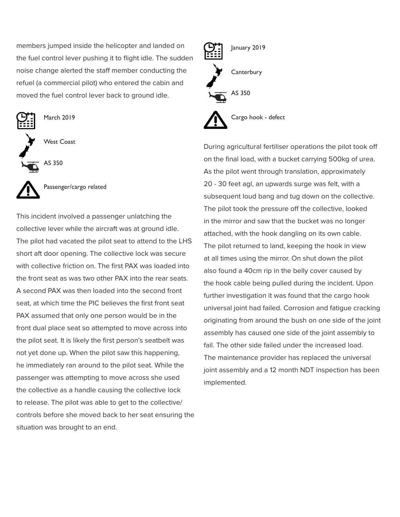members jumped inside the helicopter and landed on the fuel control lever pushing it to flight idle. The sudden noise change alerted the staff member conducting the refuel (a commercial pilot) who entered the cabin and moved the fuel control lever back to ground idle.



March 2019

West Coast

AS 350



Passenger/cargo related

This incident involved a passenger unlatching the collective lever while the aircraft was at ground idle. The pilot had vacated the pilot seat to attend to the LHS short aft door opening. The collective lock was secure with collective friction on. The first PAX was loaded into the front seat as was two other PAX into the rear seats. A second PAX was then loaded into the second front seat, at which time the PIC believes the first front seat PAX assumed that only one person would be in the front dual place seat so attempted to move across into the pilot seat. It is likely the first person's seatbelt was not yet done up. When the pilot saw this happening, he immediately ran around to the pilot seat. While the passenger was attempting to move across she used the collective as a handle causing the collective lock to release. The pilot was able to get to the collective/ controls before she moved back to her seat ensuring the situation was brought to an end.



During agricultural fertiliser operations the pilot took off on the final load, with a bucket carrying 500kg of urea. As the pilot went through translation, approximately 20 - 30 feet agl, an upwards surge was felt, with a subsequent loud bang and tug down on the collective. The pilot took the pressure off the collective, looked in the mirror and saw that the bucket was no longer attached, with the hook dangling on its own cable. The pilot returned to land, keeping the hook in view at all times using the mirror. On shut down the pilot also found a 40cm rip in the belly cover caused by the hook cable being pulled during the incident. Upon further investigation it was found that the cargo hook universal joint had failed. Corrosion and fatigue cracking originating from around the bush on one side of the joint assembly has caused one side of the joint assembly to fail. The other side failed under the increased load. The maintenance provider has replaced the universal joint assembly and a 12 month NDT inspection has been implemented.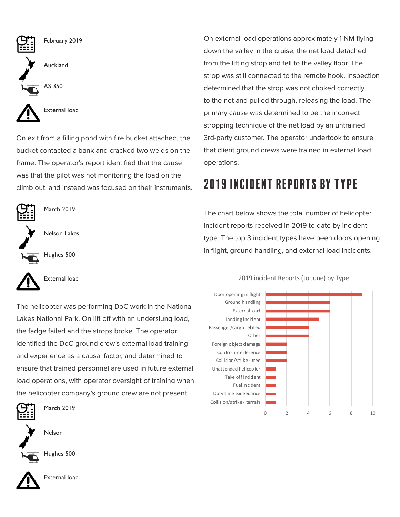

On exit from a filling pond with fire bucket attached, the bucket contacted a bank and cracked two welds on the frame. The operator's report identified that the cause was that the pilot was not monitoring the load on the climb out, and instead was focused on their instruments.



The helicopter was performing DoC work in the National Lakes National Park. On lift off with an underslung load, the fadge failed and the strops broke. The operator identified the DoC ground crew's external load training and experience as a causal factor, and determined to ensure that trained personnel are used in future external load operations, with operator oversight of training when the helicopter company's ground crew are not present.



March 2019

Nelson



Hughes 500



External load

On external load operations approximately 1 NM flying down the valley in the cruise, the net load detached from the lifting strop and fell to the valley floor. The strop was still connected to the remote hook. Inspection determined that the strop was not choked correctly to the net and pulled through, releasing the load. The primary cause was determined to be the incorrect stropping technique of the net load by an untrained 3rd-party customer. The operator undertook to ensure that client ground crews were trained in external load operations.

# 2019 incident reports by TYpe

The chart below shows the total number of helicopter incident reports received in 2019 to date by incident type. The top 3 incident types have been doors opening in flight, ground handling, and external load incidents.



### 2019 incident Reports (to June) by Type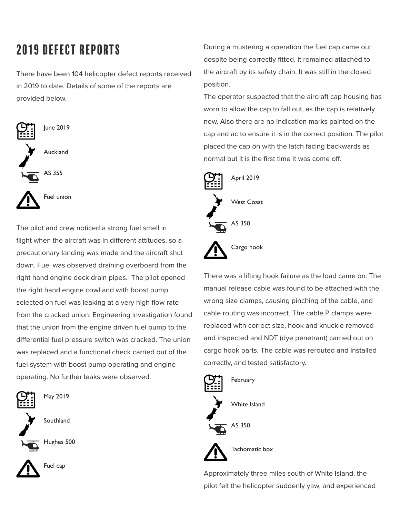# 2019 defect reports

There have been 104 helicopter defect reports received in 2019 to date. Details of some of the reports are provided below.



The pilot and crew noticed a strong fuel smell in flight when the aircraft was in different attitudes, so a precautionary landing was made and the aircraft shut down. Fuel was observed draining overboard from the right hand engine deck drain pipes. The pilot opened the right hand engine cowl and with boost pump selected on fuel was leaking at a very high flow rate from the cracked union. Engineering investigation found that the union from the engine driven fuel pump to the differential fuel pressure switch was cracked. The union was replaced and a functional check carried out of the fuel system with boost pump operating and engine operating. No further leaks were observed.



May 2019

**Southland** 

Hughes 500



During a mustering a operation the fuel cap came out despite being correctly fitted. It remained attached to the aircraft by its safety chain. It was still in the closed position.

The operator suspected that the aircraft cap housing has worn to allow the cap to fall out, as the cap is relatively new. Also there are no indication marks painted on the cap and ac to ensure it is in the correct position. The pilot placed the cap on with the latch facing backwards as normal but it is the first time it was come off.



There was a lifting hook failure as the load came on. The manual release cable was found to be attached with the wrong size clamps, causing pinching of the cable, and cable routing was incorrect. The cable P clamps were replaced with correct size, hook and knuckle removed and inspected and NDT (dye penetrant) carried out on cargo hook parts. The cable was rerouted and installed correctly, and tested satisfactory.



Approximately three miles south of White Island, the pilot felt the helicopter suddenly yaw, and experienced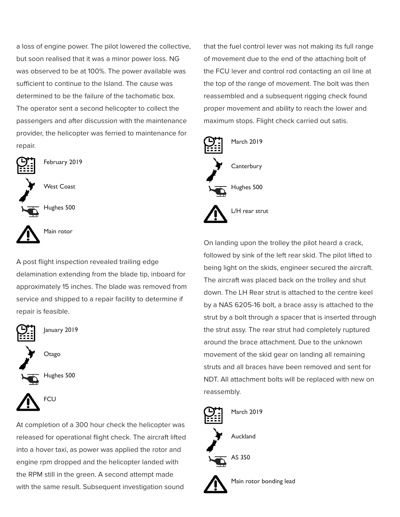a loss of engine power. The pilot lowered the collective, but soon realised that it was a minor power loss. NG was observed to be at 100%. The power available was sufficient to continue to the Island. The cause was determined to be the failure of the tachomatic box. The operator sent a second helicopter to collect the passengers and after discussion with the maintenance provider, the helicopter was ferried to maintenance for repair.



February 2019

West Coast

Hughes 500



Main rotor

A post flight inspection revealed trailing edge delamination extending from the blade tip, inboard for approximately 15 inches. The blade was removed from service and shipped to a repair facility to determine if repair is feasible.



January 2019



Hughes 500



At completion of a 300 hour check the helicopter was released for operational flight check. The aircraft lifted into a hover taxi, as power was applied the rotor and engine rpm dropped and the helicopter landed with the RPM still in the green. A second attempt made with the same result. Subsequent investigation sound

that the fuel control lever was not making its full range of movement due to the end of the attaching bolt of the FCU lever and control rod contacting an oil line at the top of the range of movement. The bolt was then reassembled and a subsequent rigging check found proper movement and ability to reach the lower and maximum stops. Flight check carried out satis.



On landing upon the trolley the pilot heard a crack, followed by sink of the left rear skid. The pilot lifted to being light on the skids, engineer secured the aircraft. The aircraft was placed back on the trolley and shut down. The LH Rear strut is attached to the centre keel by a NAS 6205-16 bolt, a brace assy is attached to the strut by a bolt through a spacer that is inserted through the strut assy. The rear strut had completely ruptured around the brace attachment. Due to the unknown movement of the skid gear on landing all remaining struts and all braces have been removed and sent for NDT. All attachment bolts will be replaced with new on reassembly.



Main rotor bonding lead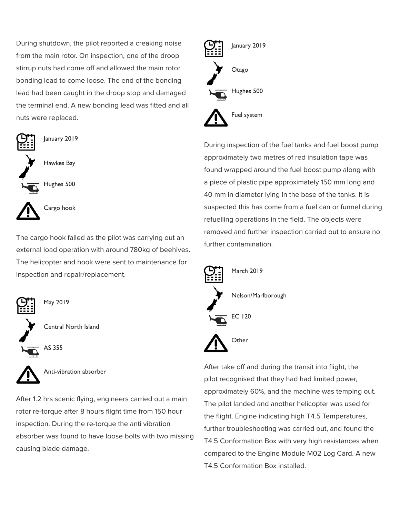During shutdown, the pilot reported a creaking noise from the main rotor. On inspection, one of the droop stirrup nuts had come off and allowed the main rotor bonding lead to come loose. The end of the bonding lead had been caught in the droop stop and damaged the terminal end. A new bonding lead was fitted and all nuts were replaced.



The cargo hook failed as the pilot was carrying out an external load operation with around 780kg of beehives. The helicopter and hook were sent to maintenance for inspection and repair/replacement.



May 2019

Central North Island

AS 355



Anti-vibration absorber

After 1.2 hrs scenic flying, engineers carried out a main rotor re-torque after 8 hours flight time from 150 hour inspection. During the re-torque the anti vibration absorber was found to have loose bolts with two missing causing blade damage.



During inspection of the fuel tanks and fuel boost pump approximately two metres of red insulation tape was found wrapped around the fuel boost pump along with a piece of plastic pipe approximately 150 mm long and 40 mm in diameter lying in the base of the tanks. It is suspected this has come from a fuel can or funnel during refuelling operations in the field. The objects were removed and further inspection carried out to ensure no further contamination.



After take off and during the transit into flight, the pilot recognised that they had had limited power, approximately 60%, and the machine was temping out. The pilot landed and another helicopter was used for the flight. Engine indicating high T4.5 Temperatures, further troubleshooting was carried out, and found the T4.5 Conformation Box with very high resistances when compared to the Engine Module M02 Log Card. A new T4.5 Conformation Box installed.